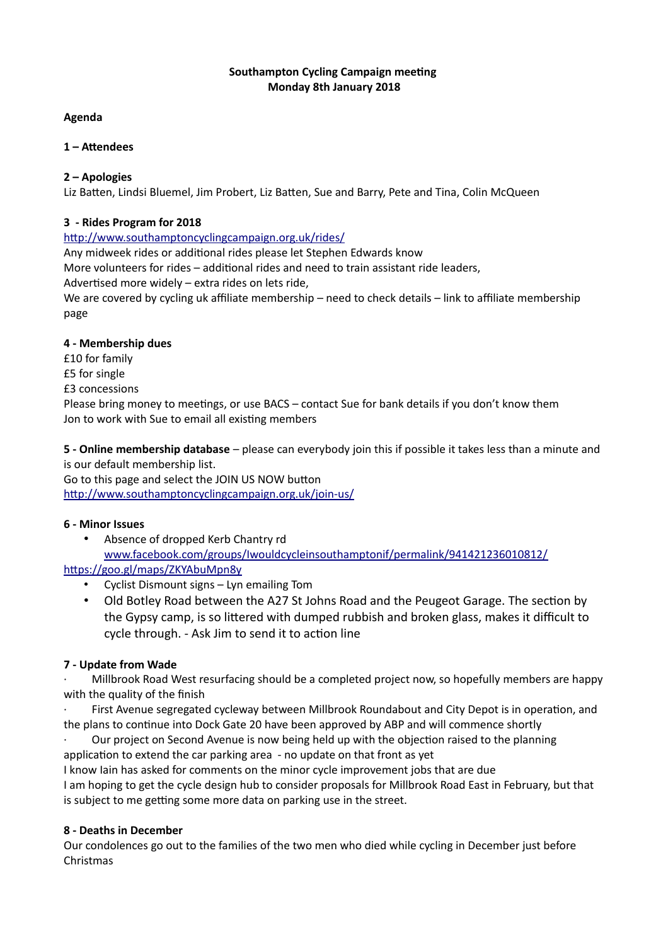# **Southampton Cycling Campaign meeting Monday 8th January 2018**

### **Agenda**

# **1 – Attendees**

# **2 – Apologies**

Liz Batten, Lindsi Bluemel, Jim Probert, Liz Batten, Sue and Barry, Pete and Tina, Colin McQueen

#### **3 - Rides Program for 2018**

<http://www.southamptoncyclingcampaign.org.uk/rides/>

Any midweek rides or additional rides please let Stephen Edwards know

More volunteers for rides – additional rides and need to train assistant ride leaders,

Advertised more widely – extra rides on lets ride,

We are covered by cycling uk affiliate membership – need to check details – link to affiliate membership page

#### **4 - Membership dues**

£10 for family

- £5 for single
- £3 concessions

Please bring money to meetings, or use BACS – contact Sue for bank details if you don't know them Jon to work with Sue to email all existing members

**5 - Online membership database** – please can everybody join this if possible it takes less than a minute and is our default membership list.

Go to this page and select the JOIN US NOW button <http://www.southamptoncyclingcampaign.org.uk/join-us/>

# **6 - Minor Issues**

• Absence of dropped Kerb Chantry rd [www.facebook.com/groups/Iwouldcycleinsouthamptonif/permalink/941421236010812/](http://www.facebook.com/groups/Iwouldcycleinsouthamptonif/permalink/941421236010812/) <https://goo.gl/maps/ZKYAbuMpn8y>

- Cyclist Dismount signs Lyn emailing Tom
- Old Botley Road between the A27 St Johns Road and the Peugeot Garage. The section by the Gypsy camp, is so littered with dumped rubbish and broken glass, makes it difficult to cycle through. - Ask Jim to send it to action line

# **7 - Update from Wade**

· Millbrook Road West resurfacing should be a completed project now, so hopefully members are happy with the quality of the finish

First Avenue segregated cycleway between Millbrook Roundabout and City Depot is in operation, and the plans to continue into Dock Gate 20 have been approved by ABP and will commence shortly

· Our project on Second Avenue is now being held up with the objection raised to the planning application to extend the car parking area - no update on that front as yet

I know Iain has asked for comments on the minor cycle improvement jobs that are due I am hoping to get the cycle design hub to consider proposals for Millbrook Road East in February, but that is subject to me getting some more data on parking use in the street.

# **8 - Deaths in December**

Our condolences go out to the families of the two men who died while cycling in December just before Christmas